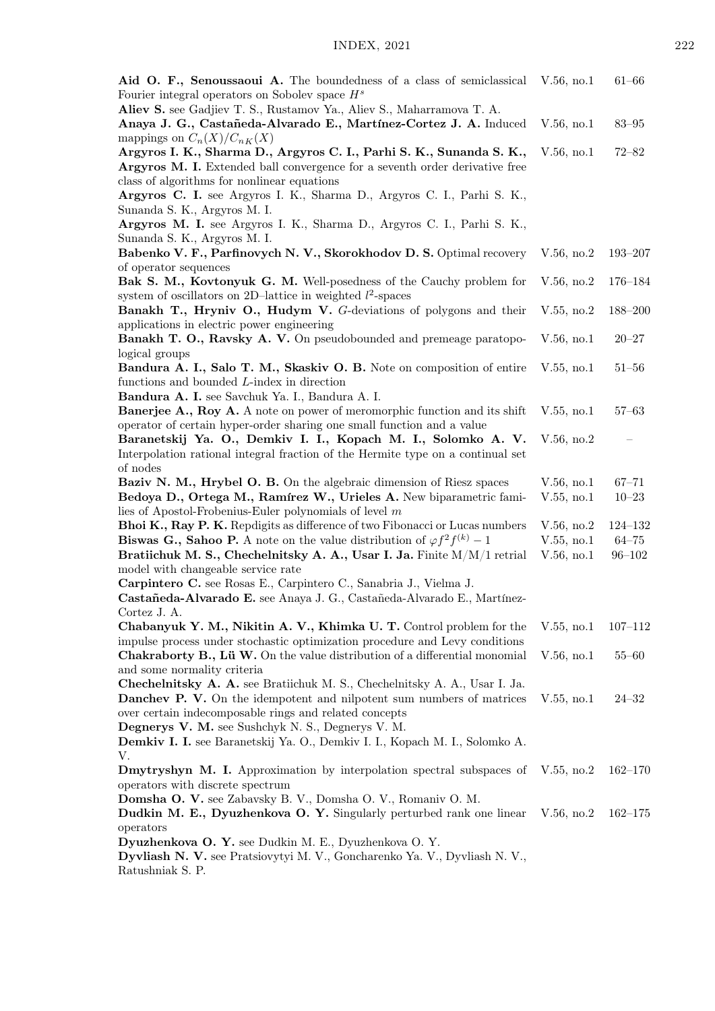| Aid O. F., Senoussaoui A. The boundedness of a class of semiclassical<br>Fourier integral operators on Sobolev space $H^s$                                                                                                           | V.56, no.1    | $61 - 66$   |
|--------------------------------------------------------------------------------------------------------------------------------------------------------------------------------------------------------------------------------------|---------------|-------------|
| Aliev S. see Gadjiev T. S., Rustamov Ya., Aliev S., Maharramova T. A.<br>Anaya J. G., Castañeda-Alvarado E., Martínez-Cortez J. A. Induced                                                                                           | V.56, no.1    | $83 - 95$   |
| mappings on $C_n(X)/C_{nK}(X)$<br>Argyros I. K., Sharma D., Argyros C. I., Parhi S. K., Sunanda S. K.,<br>Argyros M. I. Extended ball convergence for a seventh order derivative free<br>class of algorithms for nonlinear equations | V.56, no.1    | $72 - 82$   |
| Argyros C. I. see Argyros I. K., Sharma D., Argyros C. I., Parhi S. K.,<br>Sunanda S. K., Argyros M. I.                                                                                                                              |               |             |
| Argyros M. I. see Argyros I. K., Sharma D., Argyros C. I., Parhi S. K.,<br>Sunanda S. K., Argyros M. I.                                                                                                                              |               |             |
| Babenko V. F., Parfinovych N. V., Skorokhodov D. S. Optimal recovery<br>of operator sequences                                                                                                                                        | V.56, no.2    | $193 - 207$ |
| Bak S. M., Kovtonyuk G. M. Well-posedness of the Cauchy problem for<br>system of oscillators on 2D-lattice in weighted $l^2$ -spaces                                                                                                 | V.56, no.2    | $176 - 184$ |
| Banakh T., Hryniv O., Hudym V. G-deviations of polygons and their<br>applications in electric power engineering                                                                                                                      | V.55, no.2    | 188-200     |
| Banakh T. O., Ravsky A. V. On pseudobounded and premeage paratopo-<br>logical groups                                                                                                                                                 | $V.56$ , no.1 | $20 - 27$   |
| Bandura A. I., Salo T. M., Skaskiv O. B. Note on composition of entire<br>functions and bounded L-index in direction<br>Bandura A. I. see Savchuk Ya. I., Bandura A. I.                                                              | $V.55$ , no.1 | $51 - 56$   |
| <b>Banerjee A., Roy A.</b> A note on power of meromorphic function and its shift                                                                                                                                                     | $V.55$ , no.1 | $57 - 63$   |
| operator of certain hyper-order sharing one small function and a value<br>Baranetskij Ya. O., Demkiv I. I., Kopach M. I., Solomko A. V.                                                                                              | V.56, no.2    |             |
| Interpolation rational integral fraction of the Hermite type on a continual set<br>of nodes                                                                                                                                          |               |             |
| Baziv N. M., Hrybel O. B. On the algebraic dimension of Riesz spaces                                                                                                                                                                 | $V.56$ , no.1 | $67 - 71$   |
| Bedoya D., Ortega M., Ramírez W., Urieles A. New biparametric fami-                                                                                                                                                                  | V.55, no.1    | $10 - 23$   |
| lies of Apostol-Frobenius-Euler polynomials of level $m$                                                                                                                                                                             |               |             |
| Bhoi K., Ray P. K. Repdigits as difference of two Fibonacci or Lucas numbers                                                                                                                                                         | V.56, no.2    | $124 - 132$ |
| <b>Biswas G., Sahoo P.</b> A note on the value distribution of $\varphi f^2 f^{(k)} - 1$                                                                                                                                             | V.55, no.1    | $64 - 75$   |
| Bratiichuk M. S., Chechelnitsky A. A., Usar I. Ja. Finite M/M/1 retrial<br>model with changeable service rate                                                                                                                        | V.56, no.1    | $96 - 102$  |
| Carpintero C. see Rosas E., Carpintero C., Sanabria J., Vielma J.                                                                                                                                                                    |               |             |
| Castañeda-Alvarado E. see Anaya J. G., Castañeda-Alvarado E., Martínez-                                                                                                                                                              |               |             |
| Cortez J. A.                                                                                                                                                                                                                         |               |             |
| Chabanyuk Y. M., Nikitin A. V., Khimka U. T. Control problem for the                                                                                                                                                                 | $V.55$ , no.1 | $107 - 112$ |
| impulse process under stochastic optimization procedure and Levy conditions                                                                                                                                                          |               |             |
| Chakraborty B., Lü W. On the value distribution of a differential monomial                                                                                                                                                           | V.56, no.1    | $55 - 60$   |
| and some normality criteria<br>Chechelnitsky A. A. see Bratiichuk M. S., Chechelnitsky A. A., Usar I. Ja.                                                                                                                            |               |             |
| <b>Danchey P. V.</b> On the idempotent and nilpotent sum numbers of matrices                                                                                                                                                         | $V.55$ , no.1 | $24 - 32$   |
| over certain indecomposable rings and related concepts                                                                                                                                                                               |               |             |
| Degnerys V. M. see Sushchyk N. S., Degnerys V. M.                                                                                                                                                                                    |               |             |
| Demkiv I. I. see Baranetskij Ya. O., Demkiv I. I., Kopach M. I., Solomko A.                                                                                                                                                          |               |             |
| V.                                                                                                                                                                                                                                   |               |             |
| Dmytryshyn M. I. Approximation by interpolation spectral subspaces of                                                                                                                                                                | V.55, no.2    | $162 - 170$ |
| operators with discrete spectrum<br>Domsha O. V. see Zabavsky B. V., Domsha O. V., Romaniv O. M.                                                                                                                                     |               |             |
| Dudkin M. E., Dyuzhenkova O. Y. Singularly perturbed rank one linear                                                                                                                                                                 | V.56, no.2    | $162 - 175$ |
| operators                                                                                                                                                                                                                            |               |             |
| Dyuzhenkova O. Y. see Dudkin M. E., Dyuzhenkova O. Y.                                                                                                                                                                                |               |             |
| Dyvliash N. V. see Pratsiovytyi M. V., Goncharenko Ya. V., Dyvliash N. V.,<br>Ratushniak S. P.                                                                                                                                       |               |             |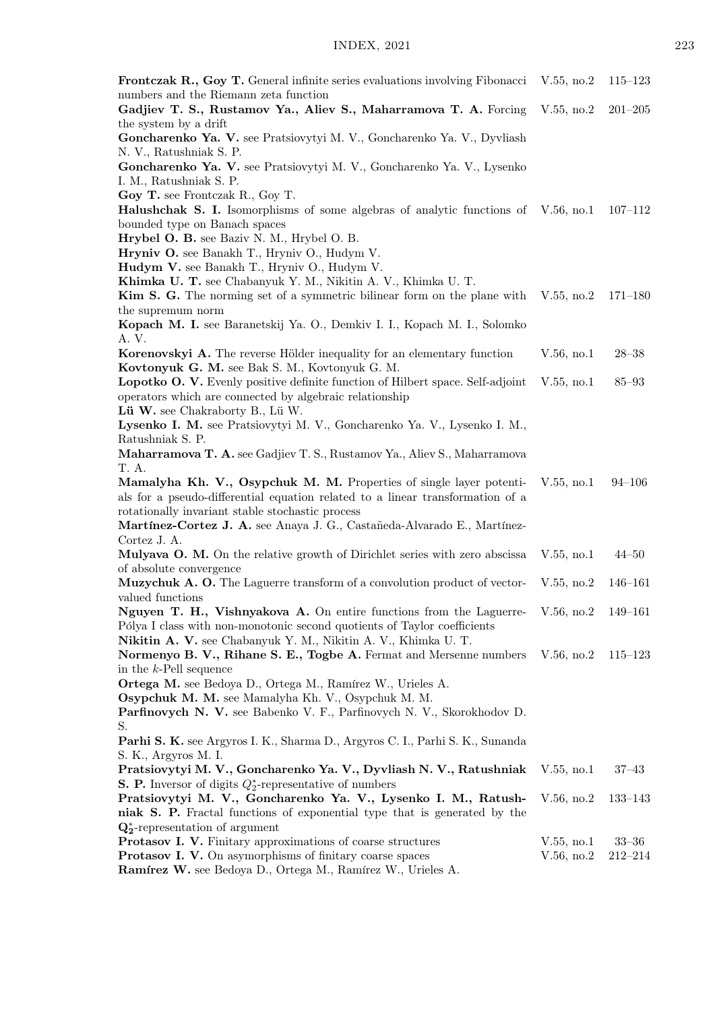| <b>Frontczak R., Goy T.</b> General infinite series evaluations involving Fibonacci V.55, no.2<br>numbers and the Riemann zeta function                    |               | $115 - 123$ |
|------------------------------------------------------------------------------------------------------------------------------------------------------------|---------------|-------------|
| Gadjiev T. S., Rustamov Ya., Aliev S., Maharramova T. A. Forcing<br>the system by a drift                                                                  | V.55, no.2    | $201 - 205$ |
| Goncharenko Ya. V. see Pratsiovytyi M. V., Goncharenko Ya. V., Dyvliash                                                                                    |               |             |
| N. V., Ratushniak S. P.<br>Goncharenko Ya. V. see Pratsiovytyi M. V., Goncharenko Ya. V., Lysenko                                                          |               |             |
| I. M., Ratushniak S. P.                                                                                                                                    |               |             |
| Goy T. see Frontczak R., Goy T.<br><b>Halushchak S. I.</b> Isomorphisms of some algebras of analytic functions of V.56, no.1                               |               | $107 - 112$ |
| bounded type on Banach spaces                                                                                                                              |               |             |
| Hrybel O. B. see Baziv N. M., Hrybel O. B.                                                                                                                 |               |             |
| Hryniv O. see Banakh T., Hryniv O., Hudym V.<br>Hudym V. see Banakh T., Hryniv O., Hudym V.                                                                |               |             |
| Khimka U. T. see Chabanyuk Y. M., Nikitin A. V., Khimka U. T.                                                                                              |               |             |
| <b>Kim S. G.</b> The norming set of a symmetric bilinear form on the plane with V.55, no.2                                                                 |               | $171 - 180$ |
| the supremum norm<br>Kopach M. I. see Baranetskij Ya. O., Demkiv I. I., Kopach M. I., Solomko                                                              |               |             |
| A. V.                                                                                                                                                      |               |             |
| Korenovskyi A. The reverse Hölder inequality for an elementary function                                                                                    | $V.56$ , no.1 | $28 - 38$   |
| Kovtonyuk G. M. see Bak S. M., Kovtonyuk G. M.                                                                                                             |               |             |
| <b>Lopotko O. V.</b> Evenly positive definite function of Hilbert space. Self-adjoint                                                                      | V.55, no.1    | $85 - 93$   |
| operators which are connected by algebraic relationship                                                                                                    |               |             |
| Lü W. see Chakraborty B., Lü W.                                                                                                                            |               |             |
| Lysenko I. M. see Pratsiovytyi M. V., Goncharenko Ya. V., Lysenko I. M.,                                                                                   |               |             |
| Ratushniak S. P.<br>Maharramova T. A. see Gadjiev T. S., Rustamov Ya., Aliev S., Maharramova                                                               |               |             |
| T. A.                                                                                                                                                      |               |             |
| Mamalyha Kh. V., Osypchuk M. M. Properties of single layer potenti-<br>als for a pseudo-differential equation related to a linear transformation of a      | V.55, no.1    | $94 - 106$  |
| rotationally invariant stable stochastic process                                                                                                           |               |             |
| Martínez-Cortez J. A. see Anaya J. G., Castañeda-Alvarado E., Martínez-                                                                                    |               |             |
| Cortez J. A.                                                                                                                                               |               |             |
| Mulyava O. M. On the relative growth of Dirichlet series with zero abscissa<br>of absolute convergence                                                     | V.55, no.1    | $44 - 50$   |
| Muzychuk A. O. The Laguerre transform of a convolution product of vector-<br>valued functions                                                              | V.55, no.2    | $146 - 161$ |
| Nguyen T. H., Vishnyakova A. On entire functions from the Laguerre- V.56, no.2<br>Pólya I class with non-monotonic second quotients of Taylor coefficients |               | 149–161     |
| Nikitin A. V. see Chabanyuk Y. M., Nikitin A. V., Khimka U. T.                                                                                             |               |             |
| Normenyo B. V., Rihane S. E., Togbe A. Fermat and Mersenne numbers V.56, no.2                                                                              |               | $115 - 123$ |
| in the $k$ -Pell sequence                                                                                                                                  |               |             |
| Ortega M. see Bedoya D., Ortega M., Ramírez W., Urieles A.                                                                                                 |               |             |
| Osypchuk M. M. see Mamalyha Kh. V., Osypchuk M. M.                                                                                                         |               |             |
| Parfinovych N. V. see Babenko V. F., Parfinovych N. V., Skorokhodov D.                                                                                     |               |             |
| S.                                                                                                                                                         |               |             |
| Parhi S. K. see Argyros I. K., Sharma D., Argyros C. I., Parhi S. K., Sunanda                                                                              |               |             |
| S. K., Argyros M. I.<br>Pratsiovytyi M. V., Goncharenko Ya. V., Dyvliash N. V., Ratushniak                                                                 | V.55, no.1    | $37 - 43$   |
| <b>S. P.</b> Inversor of digits $Q_2^*$ -representative of numbers                                                                                         |               |             |
| Pratsiovytyi M. V., Goncharenko Ya. V., Lysenko I. M., Ratush-                                                                                             | V.56, no.2    | 133-143     |
| niak S. P. Fractal functions of exponential type that is generated by the                                                                                  |               |             |
| $\mathbf{Q}_{2}^{*}$ -representation of argument                                                                                                           |               |             |
| Protasov I. V. Finitary approximations of coarse structures                                                                                                | V.55, no.1    | $33 - 36$   |
| <b>Protasov I. V.</b> On asymorphisms of finitary coarse spaces                                                                                            | V.56, no.2    | $212 - 214$ |
| Ramírez W. see Bedoya D., Ortega M., Ramírez W., Urieles A.                                                                                                |               |             |